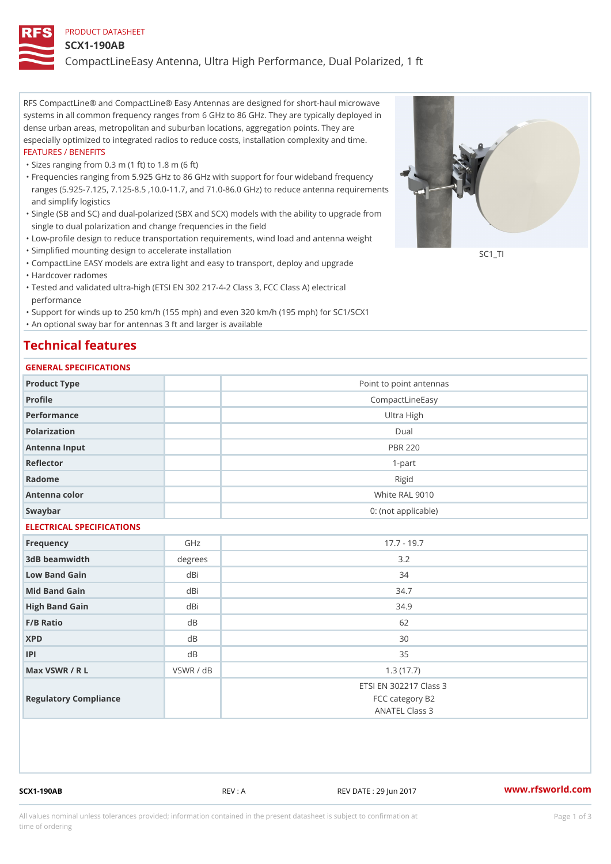#### PRODUCT DATASHEET

#### SCX1-190AB

CompactLineEasy Antenna, Ultra High Performance, Dual Polarized, 1 ft

RFS CompactLine® and CompactLine® Easy Antennas are designed for short-haul microwave systems in all common frequency ranges from 6 GHz to 86 GHz. They are typically deployed in dense urban areas, metropolitan and suburban locations, aggregation points. They are especially optimized to integrated radios to reduce costs, installation complexity and time. FEATURES / BENEFITS

"Sizes ranging from 0.3 m (1 ft) to 1.8 m (6 ft)

- Frequencies ranging from 5.925 GHz to 86 GHz with support for four wideband frequency " ranges (5.925-7.125, 7.125-8.5 ,10.0-11.7, and 71.0-86.0 GHz) to reduce antenna requirements and simplify logistics
- Single (SB and SC) and dual-polarized (SBX and SCX) models with the ability to upgrade from " single to dual polarization and change frequencies in the field
- "Low-profile design to reduce transportation requirements, wind load and antenna weight
- "Simplified mounting design to accelerate installation

 "CompactLine EASY models are extra light and easy to transport, deploy and upgrade "Hardcover radomes

Tested and validated ultra-high (ETSI EN 302 217-4-2 Class 3, FCC Class A) electrical " performance

 "Support for winds up to 250 km/h (155 mph) and even 320 km/h (195 mph) for SC1/SCX1 "An optional sway bar for antennas 3 ft and larger is available

# Technical features

## GENERAL SPECIFICATIONS

| GENERAL SELGIFICATIONS    |                |                                                             |  |
|---------------------------|----------------|-------------------------------------------------------------|--|
| Product Type              |                | Point to point antennas                                     |  |
| Profile                   |                | CompactLineEasy                                             |  |
| Performance               |                | Ultra High                                                  |  |
| Polarization              | $D$ ual        |                                                             |  |
| Antenna Input             | <b>PBR 220</b> |                                                             |  |
| Reflector                 | $1 - p$ art    |                                                             |  |
| Radome                    | Rigid          |                                                             |  |
| Antenna color             | White RAL 9010 |                                                             |  |
| Swaybar                   |                | 0: (not applicable)                                         |  |
| ELECTRICAL SPECIFICATIONS |                |                                                             |  |
| Frequency                 | GHz            | $17.7 - 19.7$                                               |  |
| 3dB beamwidth             | degrees        | 3.2                                                         |  |
| Low Band Gain             | dBi            | 34                                                          |  |
| Mid Band Gain             | dBi            | 34.7                                                        |  |
| High Band Gain            | dBi            | 34.9                                                        |  |
| F/B Ratio                 | d B            | 62                                                          |  |
| <b>XPD</b>                | d B            | 30                                                          |  |
| P                         | d B            | 35                                                          |  |
| Max VSWR / R L            | VSWR / dB      | 1.3(17.7)                                                   |  |
| Regulatory Compliance     |                | ETSI EN 302217 Class 3<br>FCC category B2<br>ANATEL Class 3 |  |

SCX1-190AB REV : A REV DATE : 29 Jun 2017 WWW.rfsworld.com

SC<sub>1</sub>TI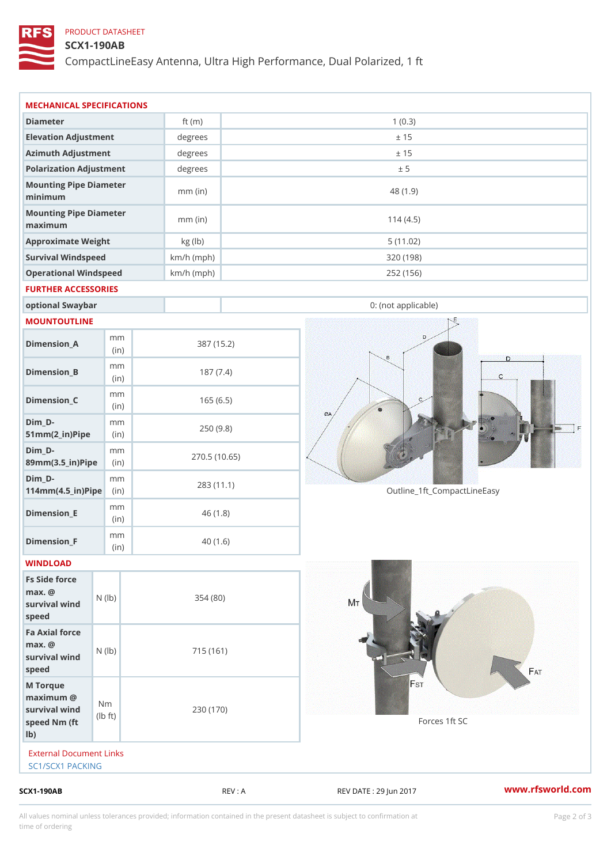# PRODUCT DATASHEET

### SCX1-190AB

CompactLineEasy Antenna, Ultra High Performance, Dual Polarized, 1 ft

| REV : A      | www.rfsworld.co<br>REV DATE : 29 Jun 2017                                                                                                                                                                             |  |
|--------------|-----------------------------------------------------------------------------------------------------------------------------------------------------------------------------------------------------------------------|--|
|              |                                                                                                                                                                                                                       |  |
| 230 (170)    | Forces 1ft SC                                                                                                                                                                                                         |  |
| 715 (161)    |                                                                                                                                                                                                                       |  |
| 354(80)      |                                                                                                                                                                                                                       |  |
|              |                                                                                                                                                                                                                       |  |
| 40(1.6)      |                                                                                                                                                                                                                       |  |
| 46(1.8)      |                                                                                                                                                                                                                       |  |
| 283 (11.1)   | Outline_1ft_CompactLineEasy                                                                                                                                                                                           |  |
| 270.5(10.65) |                                                                                                                                                                                                                       |  |
| 250(9.8)     |                                                                                                                                                                                                                       |  |
| 165(6.5)     |                                                                                                                                                                                                                       |  |
| 187(7.4)     |                                                                                                                                                                                                                       |  |
| 387 (15.2)   |                                                                                                                                                                                                                       |  |
|              |                                                                                                                                                                                                                       |  |
|              | 0: (not applicable)                                                                                                                                                                                                   |  |
|              |                                                                                                                                                                                                                       |  |
| $km/h$ (mph) | 252 (156)                                                                                                                                                                                                             |  |
|              | 320 (198)                                                                                                                                                                                                             |  |
| $mm$ (in)    | 114(4.5)<br>5(11.02)                                                                                                                                                                                                  |  |
| $mm$ (in)    | 48 (1.9)                                                                                                                                                                                                              |  |
|              | ± 5                                                                                                                                                                                                                   |  |
|              | ± 15                                                                                                                                                                                                                  |  |
|              | ± 15                                                                                                                                                                                                                  |  |
| ft $(m)$     | 1(0.3)                                                                                                                                                                                                                |  |
|              | degrees<br>$degree$ :<br>Polarization Adjustment<br>degrees<br>Mounting Pipe Diameter<br>Mounting Pipe Diameter<br>kg (lb)<br>$km/h$ (mph)<br>Operational Windspeed<br>FURTHER ACCESSORIES<br>External Document Links |  |

All values nominal unless tolerances provided; information contained in the present datasheet is subject to Pcapgelio an atio time of ordering